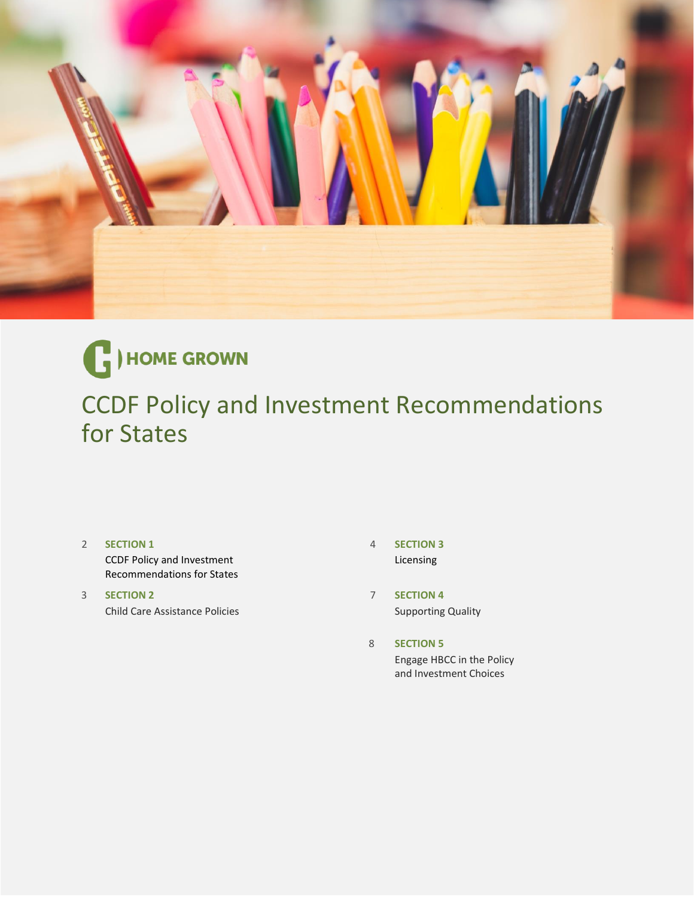



CCDF Policy and Investment Recommendations for States

- 2 **[SECTION 1](#page-1-0)** CCDF Policy and Investment Recommendations for States
- 3 **[SECTION 2](#page-2-0)** Child Care Assistance Policies
- 4 **[SECTION 3](#page-3-0)** Licensing
- 7 (*The Second Contract of The Second Contract of The Second Contract of The Second Contract of The The Second* **[SECTION 4](#page-5-0)** Supporting Quality
- <u>8 and 2008 and 2008 and 2008</u> **[SECTION 5](#page-6-0)** Engage HBCC in the Policy and Investment Choices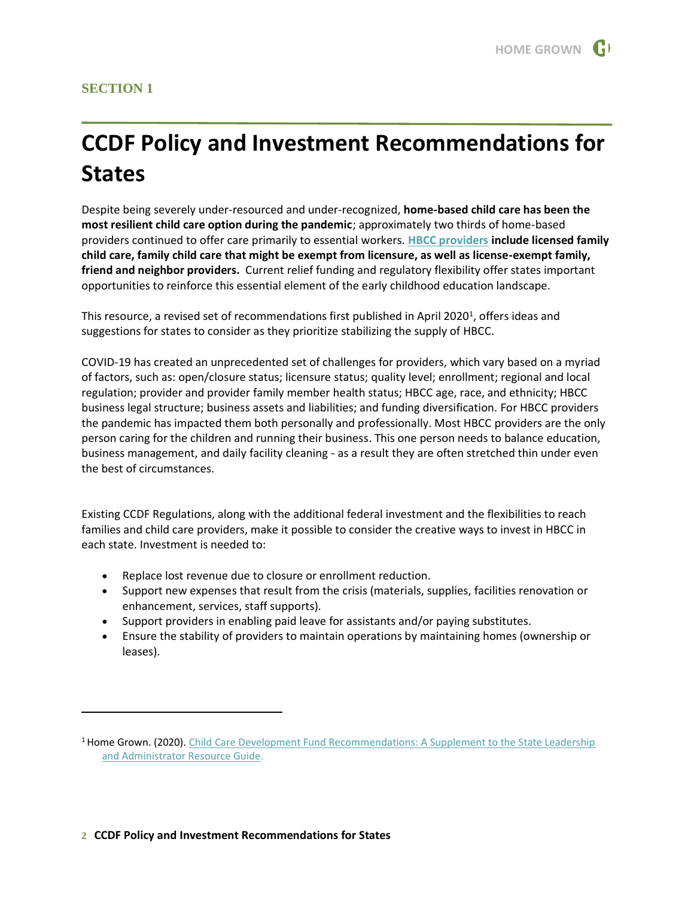### <span id="page-1-0"></span>**SECTION 1**

# **CCDF Policy and Investment Recommendations for States**

Despite being severely under-resourced and under-recognized, **home-based child care has been the most resilient child care option during the pandemic**; approximately two thirds of home-based providers continued to offer care primarily to essential workers. **[HBCC providers](https://homegrownchildcare.org/_resources/home-based-child-care-fact-sheet/) include licensed family child care, family child care that might be exempt from licensure, as well as license-exempt family, friend and neighbor providers.** Current relief funding and regulatory flexibility offer states important opportunities to reinforce this essential element of the early childhood education landscape.

This resource, a revised set of recommendations first published in April 2020<sup>1</sup>, offers ideas and suggestions for states to consider as they prioritize stabilizing the supply of HBCC.

COVID-19 has created an unprecedented set of challenges for providers, which vary based on a myriad of factors, such as: open/closure status; licensure status; quality level; enrollment; regional and local regulation; provider and provider family member health status; HBCC age, race, and ethnicity; HBCC business legal structure; business assets and liabilities; and funding diversification. For HBCC providers the pandemic has impacted them both personally and professionally. Most HBCC providers are the only person caring for the children and running their business. This one person needs to balance education, business management, and daily facility cleaning - as a result they are often stretched thin under even the best of circumstances.

Existing CCDF Regulations, along with the additional federal investment and the flexibilities to reach families and child care providers, make it possible to consider the creative ways to invest in HBCC in each state. Investment is needed to:

- Replace lost revenue due to closure or enrollment reduction.
- Support new expenses that result from the crisis (materials, supplies, facilities renovation or enhancement, services, staff supports).
- Support providers in enabling paid leave for assistants and/or paying substitutes.
- Ensure the stability of providers to maintain operations by maintaining homes (ownership or leases).

<sup>&</sup>lt;sup>1</sup> Home Grown. (2020). Child Care Development Fund Recommendations: A Supplement to the State Leadership [and Administrator Resource Guide.](https://homegrownchildcare.org/wp-content/uploads/2020/06/Home-Grown_CCDF-Supplement-PDF_6.24.20.pdf)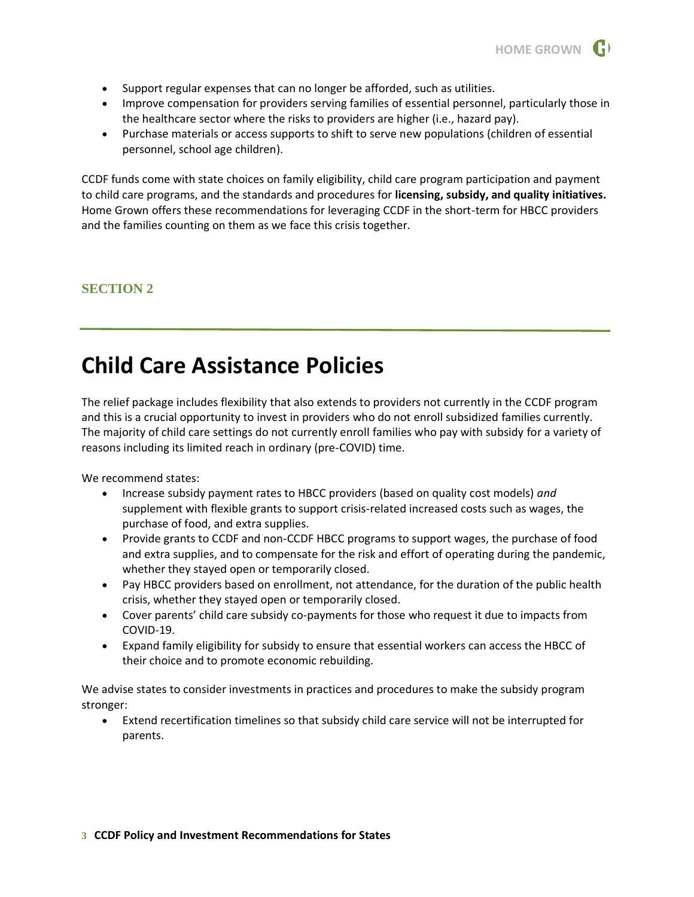

- Support regular expenses that can no longer be afforded, such as utilities.
- Improve compensation for providers serving families of essential personnel, particularly those in the healthcare sector where the risks to providers are higher (i.e., hazard pay).
- Purchase materials or access supports to shift to serve new populations (children of essential personnel, school age children).

CCDF funds come with state choices on family eligibility, child care program participation and payment to child care programs, and the standards and procedures for **licensing, subsidy, and quality initiatives.** Home Grown offers these recommendations for leveraging CCDF in the short-term for HBCC providers and the families counting on them as we face this crisis together.

### <span id="page-2-0"></span>**SECTION 2**

## **Child Care Assistance Policies**

The relief package includes flexibility that also extends to providers not currently in the CCDF program and this is a crucial opportunity to invest in providers who do not enroll subsidized families currently. The majority of child care settings do not currently enroll families who pay with subsidy for a variety of reasons including its limited reach in ordinary (pre-COVID) time.

We recommend states:

- Increase subsidy payment rates to HBCC providers (based on quality cost models) *and* supplement with flexible grants to support crisis-related increased costs such as wages, the purchase of food, and extra supplies.
- Provide grants to CCDF and non-CCDF HBCC programs to support wages, the purchase of food and extra supplies, and to compensate for the risk and effort of operating during the pandemic, whether they stayed open or temporarily closed.
- Pay HBCC providers based on enrollment, not attendance, for the duration of the public health crisis, whether they stayed open or temporarily closed.
- Cover parents' child care subsidy co-payments for those who request it due to impacts from COVID-19.
- Expand family eligibility for subsidy to ensure that essential workers can access the HBCC of their choice and to promote economic rebuilding.

We advise states to consider investments in practices and procedures to make the subsidy program stronger:

• Extend recertification timelines so that subsidy child care service will not be interrupted for parents.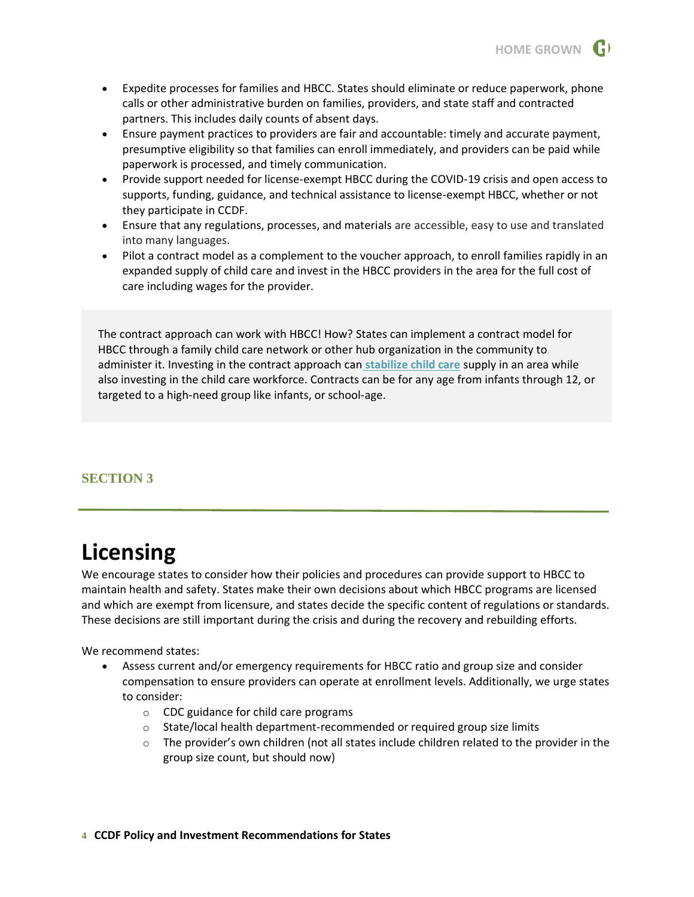

- Expedite processes for families and HBCC. States should eliminate or reduce paperwork, phone calls or other administrative burden on families, providers, and state staff and contracted partners. This includes daily counts of absent days.
- Ensure payment practices to providers are fair and accountable: timely and accurate payment, presumptive eligibility so that families can enroll immediately, and providers can be paid while paperwork is processed, and timely communication.
- Provide support needed for license-exempt HBCC during the COVID-19 crisis and open access to supports, funding, guidance, and technical assistance to license-exempt HBCC, whether or not they participate in CCDF.
- Ensure that any regulations, processes, and materials are accessible, easy to use and translated into many languages.
- Pilot a contract model as a complement to the voucher approach, to enroll families rapidly in an expanded supply of child care and invest in the HBCC providers in the area for the full cost of care including wages for the provider.

The contract approach can work with HBCC! How? States can implement a contract model for HBCC through a family child care network or other hub organization in the community to administer it. Investing in the contract approach can **[stabilize child care](https://www.naeyc.org/sites/default/files/wysiwyg/user-74/policy_10billion_for_ccdbg.pdf)** supply in an area while also investing in the child care workforce. Contracts can be for any age from infants through 12, or targeted to a high-need group like infants, or school-age.

### <span id="page-3-0"></span>**SECTION 3**

## **Licensing**

We encourage states to consider how their policies and procedures can provide support to HBCC to maintain health and safety. States make their own decisions about which HBCC programs are licensed and which are exempt from licensure, and states decide the specific content of regulations or standards. These decisions are still important during the crisis and during the recovery and rebuilding efforts.

We recommend states:

- Assess current and/or emergency requirements for HBCC ratio and group size and consider compensation to ensure providers can operate at enrollment levels. Additionally, we urge states to consider:
	- o CDC guidance for child care programs
	- o State/local health department-recommended or required group size limits
	- $\circ$  The provider's own children (not all states include children related to the provider in the group size count, but should now)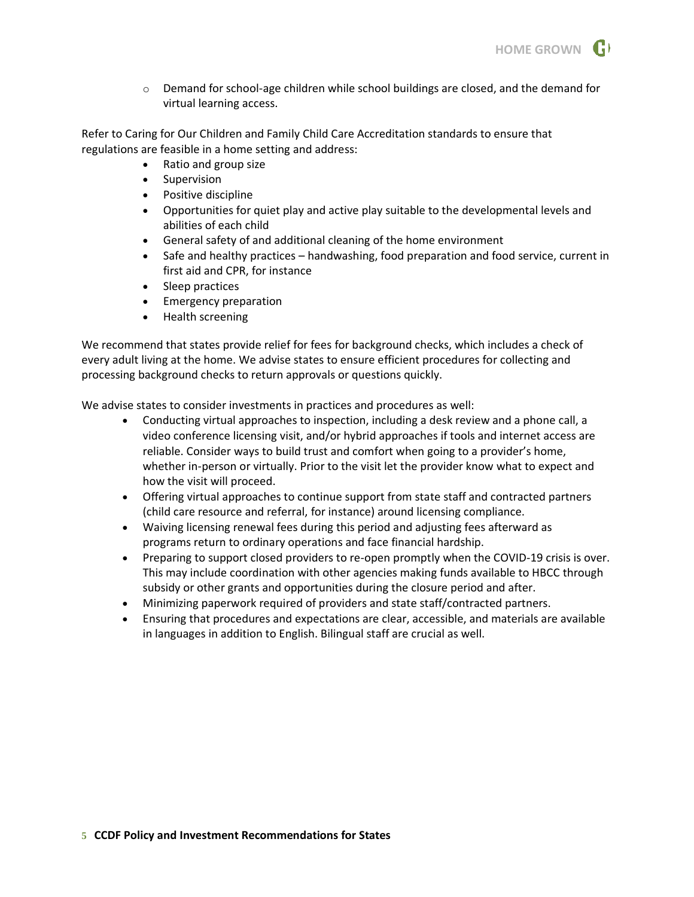

 $\circ$  Demand for school-age children while school buildings are closed, and the demand for virtual learning access.

Refer to Caring for Our Children and Family Child Care Accreditation standards to ensure that regulations are feasible in a home setting and address:

- Ratio and group size
- Supervision
- Positive discipline
- Opportunities for quiet play and active play suitable to the developmental levels and abilities of each child
- General safety of and additional cleaning of the home environment
- Safe and healthy practices handwashing, food preparation and food service, current in first aid and CPR, for instance
- Sleep practices
- Emergency preparation
- Health screening

We recommend that states provide relief for fees for background checks, which includes a check of every adult living at the home. We advise states to ensure efficient procedures for collecting and processing background checks to return approvals or questions quickly.

We advise states to consider investments in practices and procedures as well:

- Conducting virtual approaches to inspection, including a desk review and a phone call, a video conference licensing visit, and/or hybrid approaches if tools and internet access are reliable. Consider ways to build trust and comfort when going to a provider's home, whether in-person or virtually. Prior to the visit let the provider know what to expect and how the visit will proceed.
- Offering virtual approaches to continue support from state staff and contracted partners (child care resource and referral, for instance) around licensing compliance.
- Waiving licensing renewal fees during this period and adjusting fees afterward as programs return to ordinary operations and face financial hardship.
- Preparing to support closed providers to re-open promptly when the COVID-19 crisis is over. This may include coordination with other agencies making funds available to HBCC through subsidy or other grants and opportunities during the closure period and after.
- Minimizing paperwork required of providers and state staff/contracted partners.
- Ensuring that procedures and expectations are clear, accessible, and materials are available in languages in addition to English. Bilingual staff are crucial as well.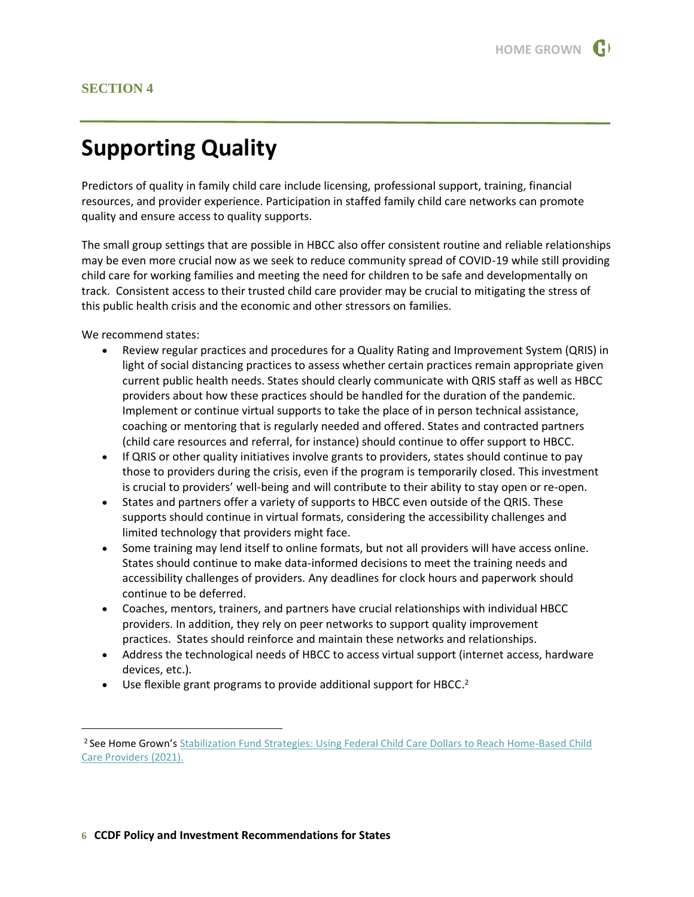# <span id="page-5-0"></span>**Supporting Quality**

Predictors of quality in family child care include licensing, professional support, training, financial resources, and provider experience. Participation in staffed family child care networks can promote quality and ensure access to quality supports.

The small group settings that are possible in HBCC also offer consistent routine and reliable relationships may be even more crucial now as we seek to reduce community spread of COVID-19 while still providing child care for working families and meeting the need for children to be safe and developmentally on track. Consistent access to their trusted child care provider may be crucial to mitigating the stress of this public health crisis and the economic and other stressors on families.

We recommend states:

- Review regular practices and procedures for a Quality Rating and Improvement System (QRIS) in light of social distancing practices to assess whether certain practices remain appropriate given current public health needs. States should clearly communicate with QRIS staff as well as HBCC providers about how these practices should be handled for the duration of the pandemic. Implement or continue virtual supports to take the place of in person technical assistance, coaching or mentoring that is regularly needed and offered. States and contracted partners (child care resources and referral, for instance) should continue to offer support to HBCC.
- If QRIS or other quality initiatives involve grants to providers, states should continue to pay those to providers during the crisis, even if the program is temporarily closed. This investment is crucial to providers' well-being and will contribute to their ability to stay open or re-open.
- States and partners offer a variety of supports to HBCC even outside of the QRIS. These supports should continue in virtual formats, considering the accessibility challenges and limited technology that providers might face.
- Some training may lend itself to online formats, but not all providers will have access online. States should continue to make data-informed decisions to meet the training needs and accessibility challenges of providers. Any deadlines for clock hours and paperwork should continue to be deferred.
- Coaches, mentors, trainers, and partners have crucial relationships with individual HBCC providers. In addition, they rely on peer networks to support quality improvement practices. States should reinforce and maintain these networks and relationships.
- Address the technological needs of HBCC to access virtual support (internet access, hardware devices, etc.).
- $\bullet$  Use flexible grant programs to provide additional support for HBCC.<sup>2</sup>

<sup>&</sup>lt;sup>2</sup> See Home Grown's Stabilization Fund Strategies: Using Federal Child Care Dollars to Reach Home-Based Child [Care Providers \(2021\).](https://homegrownchildcare.org/wp-content/uploads/2021/02/Stabilization-Fund-Resource.pdf)